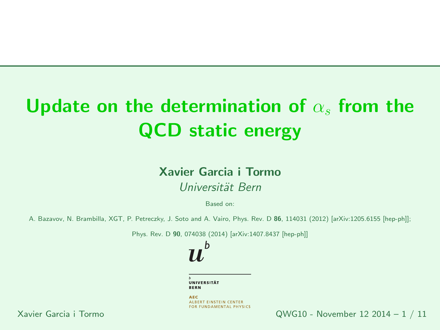# Update on the determination of  $\alpha_s$  from the QCD static energy

#### Xavier Garcia <sup>i</sup> TormoUniversität Bern

Based on:

A. Bazavov, N. Brambilla, XGT, P. Petreczky, J. Soto and A. Vairo, Phys. Rev. D **86**, 114031 (2012) [arXiv:1205.6155 [hep-ph]];<br>.

Phys. Rev. D **90**, 074038 (2014) [arXiv:1407.8437 [hep-ph]]

UNIVERSITÄT **BERN** 

h

**AEC ALBERT EINSTEIN CENTER** FOR FUNDAMENTAL PHYSICS

Xavier Garcia <sup>i</sup> Tormo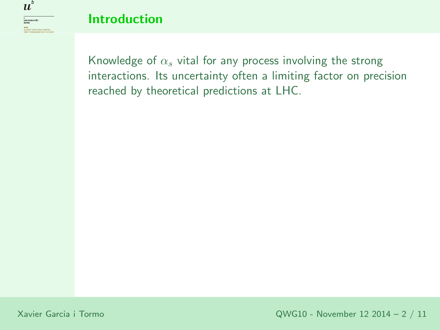

Knowledge of  $\alpha_s$  vital for any process involving the strong interactions. Its uncertainty often <sup>a</sup> limiting factor on precisionreached by theoretical predictions at LHC.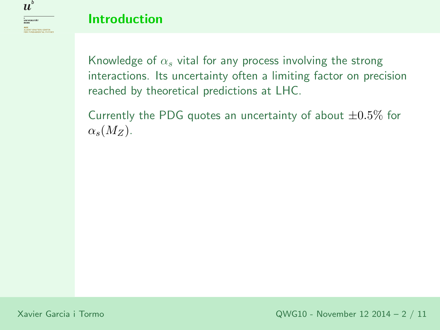

Knowledge of  $\alpha_s$  vital for any process involving the strong interactions. Its uncertainty often <sup>a</sup> limiting factor on precisionreached by theoretical predictions at LHC.

Currently the PDG quotes an uncertainty of about  $\pm 0.5\%$  for<br>collection of an uncertainty of about  $\pm 0.5\%$  for  $\alpha_s(M_Z)$ .

Xavier Garcia <sup>i</sup> Tormo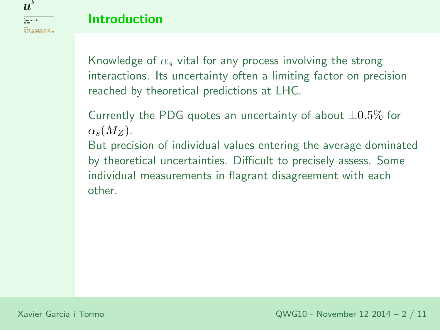Knowledge of  $\alpha_s$  vital for any process involving the strong interactions. Its uncertainty often <sup>a</sup> limiting factor on precisionreached by theoretical predictions at LHC.

Currently the PDG quotes an uncertainty of about  $\pm 0.5\%$  for<br>collection of an uncertainty of about  $\pm 0.5\%$  for  $\alpha_s(M_Z)$ .

But precision of individual values entering the average dominatedby theoretical uncertainties. Difficult to precisely assess. Some individual measurements in flagrant disagreement with eachother.

 $\boldsymbol{u}^{\textit{b}}$ 

<sup>b</sup><br>Universität<br>Bern **AEC**<br>ALBERT EINSTEIN CENTER<br>FOR FUNDAMENTAL PHYSI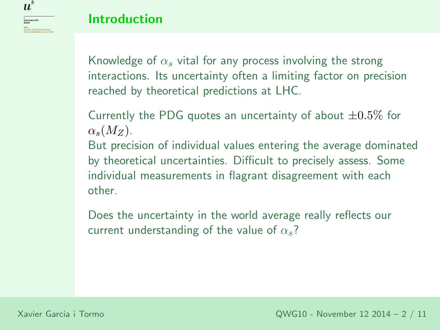Knowledge of  $\alpha_s$  vital for any process involving the strong interactions. Its uncertainty often <sup>a</sup> limiting factor on precisionreached by theoretical predictions at LHC.

Currently the PDG quotes an uncertainty of about  $\pm 0.5\%$  for<br>collection of an uncertainty of about  $\pm 0.5\%$  for  $\alpha_s(M_Z)$ .

But precision of individual values entering the average dominatedby theoretical uncertainties. Difficult to precisely assess. Some individual measurements in flagrant disagreement with eachother.

Does the uncertainty in the world average really reflects our current understanding of the value of  $\alpha_s$ ?

 $\boldsymbol{u}^{\textit{b}}$ 

<sup>b</sup><br>Universität<br>Bern

**AEC**<br>ALBERT EINSTEIN CENTER<br>FOR FUNDAMENTAL PHYSI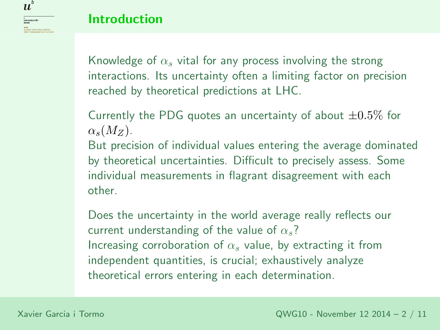Knowledge of  $\alpha_s$  vital for any process involving the strong interactions. Its uncertainty often <sup>a</sup> limiting factor on precisionreached by theoretical predictions at LHC.

Currently the PDG quotes an uncertainty of about  $\pm 0.5\%$  for<br>collection of an uncertainty of about  $\pm 0.5\%$  for  $\alpha_s(M_Z)$ .

But precision of individual values entering the average dominatedby theoretical uncertainties. Difficult to precisely assess. Some individual measurements in flagrant disagreement with eachother.

Does the uncertainty in the world average really reflects our current understanding of the value of  $\alpha_s$ ? Increasing corroboration of  $\alpha_s$  value, by extracting it from independent quantities, is crucial; exhaustively analyze theoretical errors entering in each determination.

 $\boldsymbol{u}^{\textit{b}}$ 

<sup>b</sup><br>Universität<br>Bern **AEC**<br>ALBERT EINSTEIN CENTER<br>FOR FUNDAMENTAL PHYSI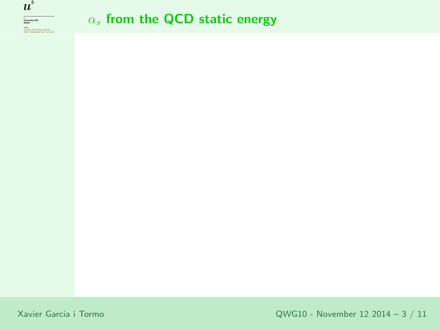

# $\alpha_s$  from the QCD static energy

Xavier Garcia <sup>i</sup> Tormo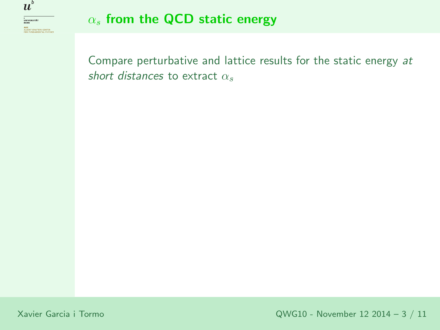

# $\alpha_s$  from the QCD static energy

Compare perturbative and lattice results for the static energy at short distances to extract  $\alpha_s$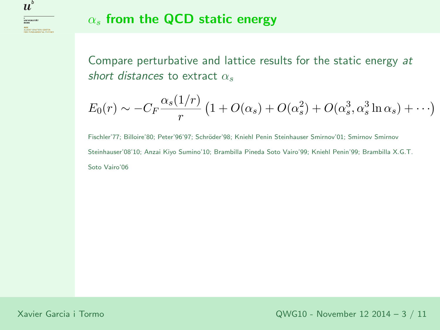$\boldsymbol{u}^{\textit{b}}$ 

# $\alpha_s$  from the QCD static energy

Compare perturbative and lattice results for the static energy at short distances to extract  $\alpha_s$ 

$$
E_0(r) \sim -C_F \frac{\alpha_s(1/r)}{r} \left(1 + O(\alpha_s) + O(\alpha_s^2) + O(\alpha_s^3, \alpha_s^3 \ln \alpha_s) + \cdots \right)
$$

Fischler'77; Billoire'80; Peter'96'97; Schröder'98; Kniehl Penin Steinhauser Smirnov'01; Smirnov Smirnov Steinhauser'08'10; Anzai Kiyo Sumino'10; Brambilla Pineda Soto Vairo'99; Kniehl Penin'99; Brambilla X.G.T. Soto Vairo'06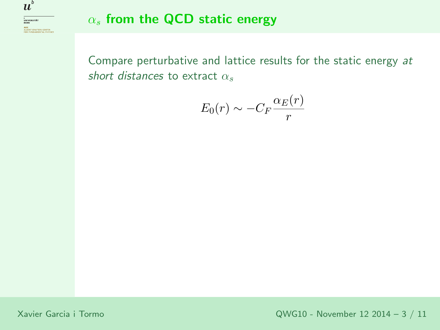

## $\alpha_s$  from the QCD static energy

Compare perturbative and lattice results for the static energy at short distances to extract  $\alpha_s$ 

$$
E_0(r)\sim -C_F\frac{\alpha_E(r)}{r}
$$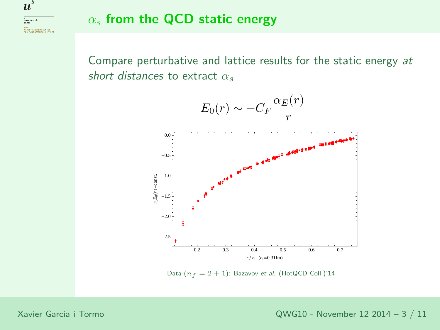$\boldsymbol{u}^{\textit{b}}$ 

# $\alpha_s$  from the QCD static energy

Compare perturbative and lattice results for the static energy at short distances to extract  $\alpha_s$ 



Data  $(n_f = 2 + 1)$ : Bazavov *et al.* (HotQCD Coll.)'14

Xavier Garcia <sup>i</sup> Tormo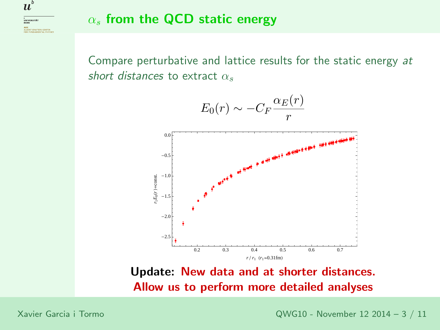<sup>b</sup><br>Universität<br>Bern AEC<br>ALBERT EINSTEIN CENTER<br>FOR FUNDAMENTAL PHYSIC

 $\boldsymbol{u}^{\textit{b}}$ 

# $\alpha_s$  from the QCD static energy

Compare perturbative and lattice results for the static energy at short distances to extract  $\alpha_s$ 



Update: New data and at shorter distances. Allow us to perform more detailed analyses

Xavier Garcia <sup>i</sup> Tormo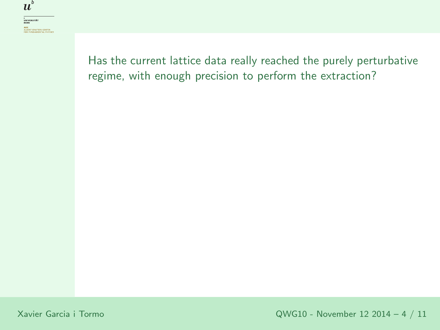$\boldsymbol{u}^{\textit{b}}$ 

Has the current lattice data really reached the purely perturbative regime, with enoug<sup>h</sup> precision to perform the extraction?

Xavier Garcia <sup>i</sup> Tormo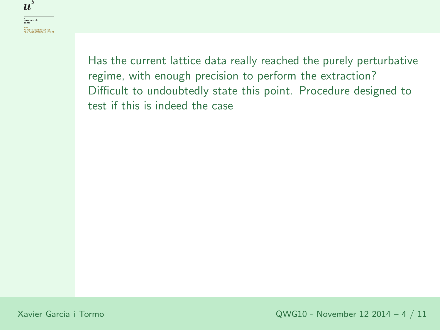<sup>b</sup><br>Universität<br>Bern **AEC**<br>ALBERT EINSTEIN CENTER<br>FOR FUNDAMENTAL PHYSICS

 $b$  $\boldsymbol{u}$ 

> Has the current lattice data really reached the purely perturbative regime, with enoug<sup>h</sup> precision to perform the extraction? Difficult to undoubtedly state this point. Procedure designed to test if this is indeed the case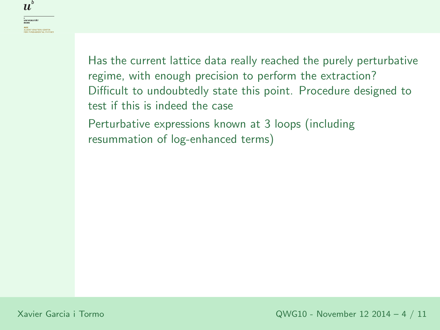<sup>b</sup><br>Universität<br>Bern **AEC**<br>ALBERT EINSTEIN CENTER<br>FOR FUNDAMENTAL PHYSICS

b  $\boldsymbol{u}$ 

> Has the current lattice data really reached the purely perturbative regime, with enoug<sup>h</sup> precision to perform the extraction? Difficult to undoubtedly state this point. Procedure designed to test if this is indeed the case

Perturbative expressions known at <sup>3</sup> loops (including resummation of log-enhanced terms)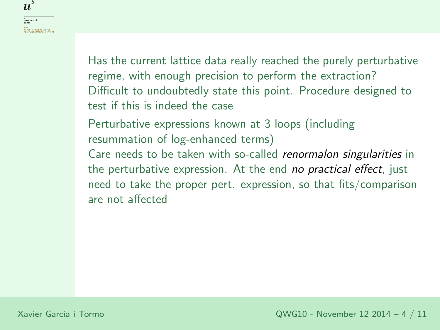<sup>b</sup><br>Universität<br>Bern **AEC**<br>ALBERT EINSTEIN CENTER<br>FOR FUNDAMENTAL PHYSIC

 $\boldsymbol{u}^{\textit{b}}$ 

Has the current lattice data really reached the purely perturbative regime, with enoug<sup>h</sup> precision to perform the extraction? Difficult to undoubtedly state this point. Procedure designed to test if this is indeed the case

Perturbative expressions known at <sup>3</sup> loops (including resummation of log-enhanced terms)

Care needs to be taken with so-called *renormalon singularities* in the perturbative expression. At the end *no practical effect*, just need to take the proper pert. expression, so that fits/comparisonare not affected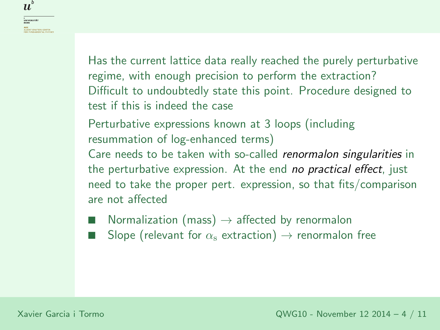Has the current lattice data really reached the purely perturbative regime, with enoug<sup>h</sup> precision to perform the extraction? Difficult to undoubtedly state this point. Procedure designed to test if this is indeed the case

Perturbative expressions known at <sup>3</sup> loops (including resummation of log-enhanced terms)

Care needs to be taken with so-called *renormalon singularities* in the perturbative expression. At the end *no practical effect*, just need to take the proper pert. expression, so that fits/comparisonare not affected

- ■■ Normalization (mass)  $\rightarrow$  affected by renormalon<br>■ Slope (relevant for  $\alpha$  extraction)  $\rightarrow$  renormalon
- ■ $\qquad \qquad \blacksquare$  Slope (relevant for  $\alpha_{\rm s}$  extraction)  $\rightarrow$  renormalon free

 $\boldsymbol{u}^{\textit{b}}$ 

<sup>b</sup><br>Universität<br>Bern

**AEC**<br>ALBERT EINSTEIN CENTER<br>FOR FUNDAMENTAL PHYSIC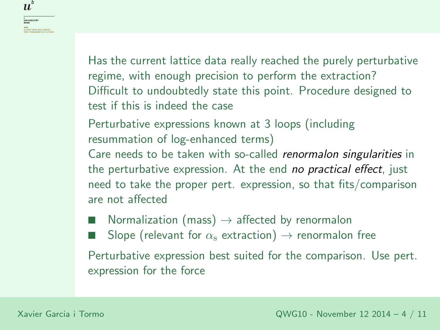Has the current lattice data really reached the purely perturbative regime, with enoug<sup>h</sup> precision to perform the extraction? Difficult to undoubtedly state this point. Procedure designed to test if this is indeed the case

Perturbative expressions known at <sup>3</sup> loops (including resummation of log-enhanced terms)

Care needs to be taken with so-called *renormalon singularities* in the perturbative expression. At the end *no practical effect*, just need to take the proper pert. expression, so that fits/comparisonare not affected

■■ Normalization (mass)  $\rightarrow$  affected by renormalon<br>■ Slope (relevant for  $\alpha$  extraction)  $\rightarrow$  renormalon

■ $\qquad \qquad \blacksquare$  Slope (relevant for  $\alpha_{\rm s}$  extraction)  $\rightarrow$  renormalon free

Perturbative expression best suited for the comparison. Use pert. expression for the force

 $\boldsymbol{u}^{\textit{b}}$ 

<sup>b</sup><br>Universität<br>Bern

**AEC**<br>ALBERT EINSTEIN CENTER<br>FOR FUNDAMENTAL PHYSIC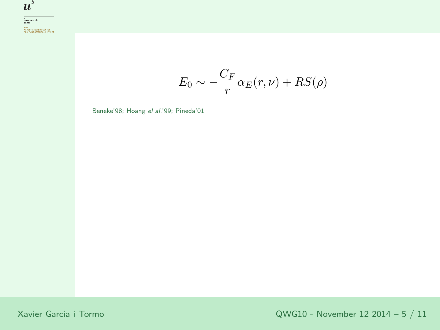

**AEC**<br>ALBERT EINSTEIN CENTER<br>FOR FUNDAMENTAL PHYSICS

 $E_{\rm 0}$  $\omega_0 \sim -\frac{C_F}{r} \alpha_E(r,\nu) + RS(\rho)$ 

Beneke'98; Hoang *el al.*'99; Pineda'01

Xavier Garcia <sup>i</sup> Tormo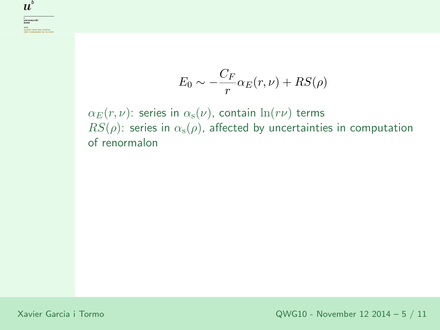$$
E_0 \sim -\frac{C_F}{r} \alpha_E(r,\nu) + RS(\rho)
$$

 $\alpha_E(r,\nu)$ : series in  $\alpha_{\rm s}(\nu)$ , contain  $\ln(r\nu)$  terms  $RS(\rho)$ : series in  $\alpha_{\rm s}(\rho)$ , affected by uncertainties in computation of renormalon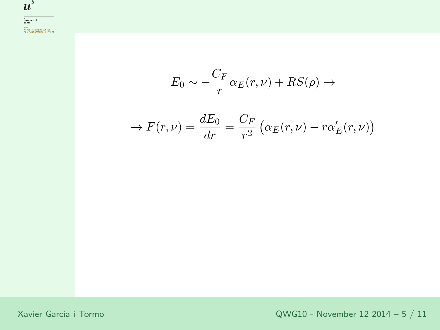

 $E_{\rm 0}$  $\omega_0 \sim -\frac{C_F}{r} \alpha_E(r,\nu) + RS(\rho) \rightarrow$ 

$$
\rightarrow F(r,\nu) = \frac{dE_0}{dr} = \frac{C_F}{r^2} \left( \alpha_E(r,\nu) - r \alpha'_E(r,\nu) \right)
$$

Xavier Garcia <sup>i</sup> Tormo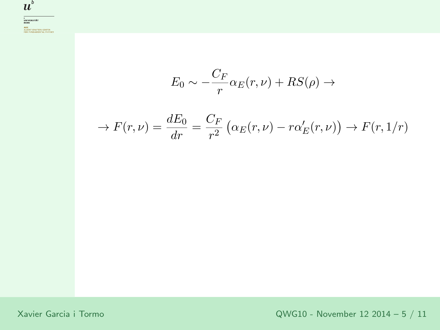

$$
E_0 \sim -\frac{C_F}{r} \alpha_E(r,\nu) + RS(\rho) \rightarrow
$$

$$
\rightarrow F(r,\nu) = \frac{dE_0}{dr} = \frac{C_F}{r^2} \left( \alpha_E(r,\nu) - r \alpha'_E(r,\nu) \right) \rightarrow F(r,1/r)
$$

Xavier Garcia <sup>i</sup> Tormo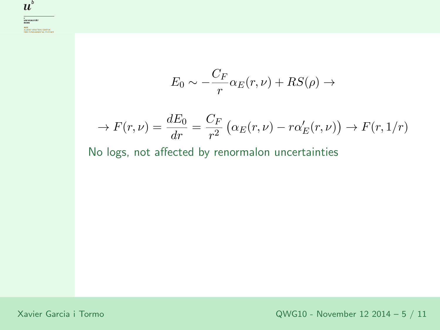$$
E_0 \sim -\frac{C_F}{r} \alpha_E(r,\nu) + RS(\rho) \to
$$

$$
\rightarrow F(r,\nu) = \frac{dE_0}{dr} = \frac{C_F}{r^2} \left( \alpha_E(r,\nu) - r \alpha'_E(r,\nu) \right) \rightarrow F(r,1/r)
$$

No logs, not affected by renormalon uncertainties

Xavier Garcia <sup>i</sup> Tormo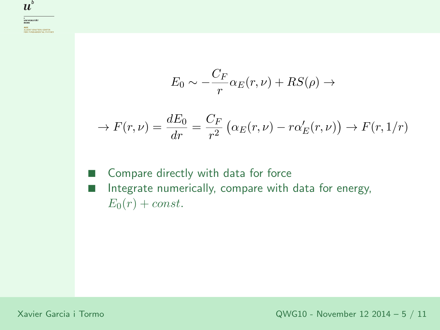$$
E_0 \sim -\frac{C_F}{r} \alpha_E(r,\nu) + RS(\rho) \rightarrow
$$

$$
\rightarrow F(r,\nu) = \frac{dE_0}{dr} = \frac{C_F}{r^2} \left( \alpha_E(r,\nu) - r \alpha'_E(r,\nu) \right) \rightarrow F(r,1/r)
$$

■ Compare directly with data for force ■ Integrate numerically, compare with data for energy,  $E_0(r) + const.$ 

Xavier Garcia <sup>i</sup> Tormo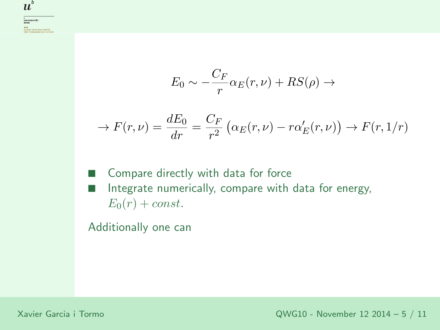$$
E_0 \sim -\frac{C_F}{r} \alpha_E(r,\nu) + RS(\rho) \to
$$

$$
\rightarrow F(r,\nu) = \frac{dE_0}{dr} = \frac{C_F}{r^2} \left( \alpha_E(r,\nu) - r \alpha'_E(r,\nu) \right) \rightarrow F(r,1/r)
$$

■ Compare directly with data for force ■ Integrate numerically, compare with data for energy,  $E_0(r) + const.$ 

Additionally one can

Xavier Garcia <sup>i</sup> Tormo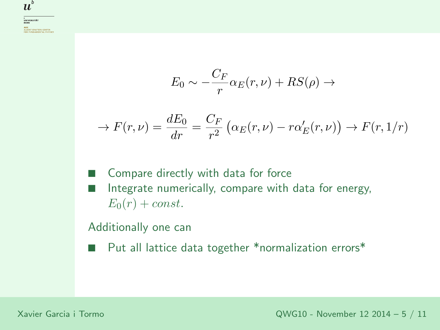$$
E_0 \sim -\frac{C_F}{r} \alpha_E(r,\nu) + RS(\rho) \to
$$

$$
\rightarrow F(r,\nu) = \frac{dE_0}{dr} = \frac{C_F}{r^2} \left( \alpha_E(r,\nu) - r \alpha'_E(r,\nu) \right) \rightarrow F(r,1/r)
$$

■ Compare directly with data for force ■ Integrate numerically, compare with data for energy,  $E_0(r) + const.$ 

Additionally one can

■Put all lattice data together \*normalization errors\*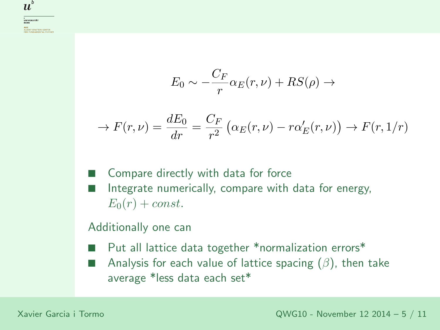$$
E_0 \sim -\frac{C_F}{r} \alpha_E(r,\nu) + RS(\rho) \to
$$

$$
\rightarrow F(r,\nu) = \frac{dE_0}{dr} = \frac{C_F}{r^2} \left( \alpha_E(r,\nu) - r \alpha'_E(r,\nu) \right) \rightarrow F(r,1/r)
$$

■ Compare directly with data for force ■ Integrate numerically, compare with data for energy,  $E_0(r) + const.$ 

#### Additionally one can

- ■Put all lattice data together \*normalization errors\*
- ■Analysis for each value of lattice spacing  $(\beta)$ , then take average \*less data each set\*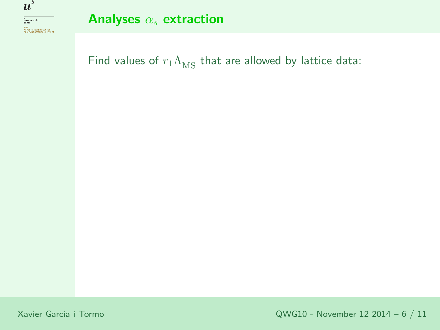

Analyses  $\alpha_s$  extraction

Find values of  $r_1\Lambda_{\overline{\rm MS}}$  that are allowed by lattice data:

Xavier Garcia <sup>i</sup> Tormo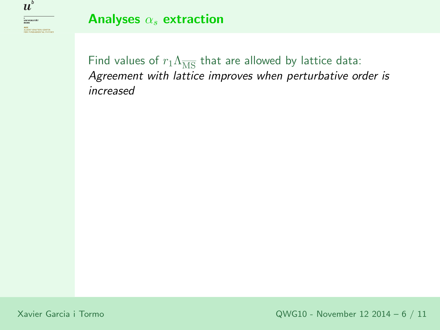

Analyses  $\alpha_s$  extraction

Find values of  $r_1\Lambda_{\overline{\rm MS}}$  that are allowed by lattice data:<br>. Agreement with lattice improves when perturbative order is increased

Xavier Garcia <sup>i</sup> Tormo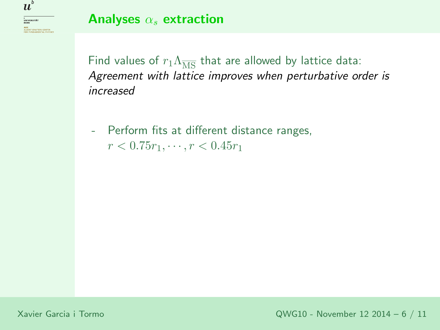

### Analyses  $\alpha_s$  extraction

Find values of  $r_1\Lambda_{\overline{\rm MS}}$  that are allowed by lattice data:<br>. Agreement with lattice improves when perturbative order is increased

 Perform fits at different distance ranges,  $r < 0.75r_1, \cdots, r < 0.45r_1$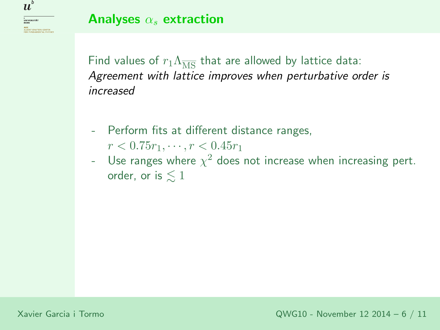<sup>b</sup><br>Universität<br>Bern AEC<br>ALBERT EINSTEIN CENTER<br>FOR FUNDAMENTAL PHYSI

 $\boldsymbol{u}^{\textit{b}}$ 

Analyses  $\alpha_s$  extraction

Find values of  $r_1\Lambda_{\overline{\rm MS}}$  that are allowed by lattice data:<br>. Agreement with lattice improves when perturbative order is increased

- - Perform fits at different distance ranges,  $r < 0.75r_1, \cdots, r < 0.45r_1$
- -Use ranges where  $\chi^2$  does not increase when increasing pert. order, or is  $\lesssim 1$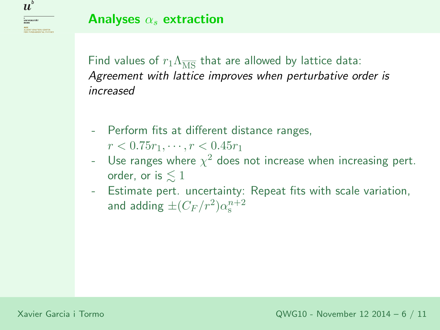<sub>b</sub><br>Universität<br>Bern **AEC**<br>ALBERT EINSTEIN CENTER<br>FOR FUNDAMENTAL PHY

 $\boldsymbol{u}^{\textit{b}}$ 

Find values of  $r_1\Lambda_{\overline{\rm MS}}$  that are allowed by lattice data:<br>. Agreement with lattice improves when perturbative order is increased

- - Perform fits at different distance ranges,  $r < 0.75r_1, \cdots, r < 0.45r_1$
- -Use ranges where  $\chi^2$  does not increase when increasing pert. order, or is  $\lesssim 1$
- - Estimate pert. uncertainty: Repeat fits with scale variation, and adding  $\pm (C_F/r^2) \alpha_{\rm s}^{n+2}$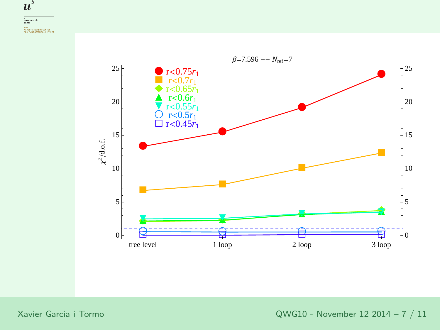



Xavier Garcia <sup>i</sup> Tormo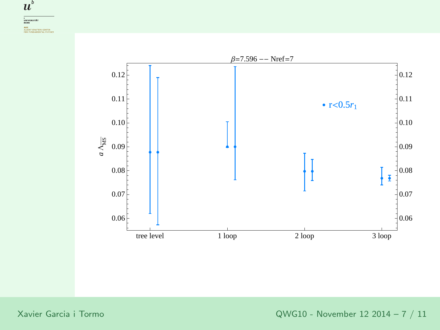$\boldsymbol{u}^{\textit{b}}$ 



Xavier Garcia <sup>i</sup> Tormo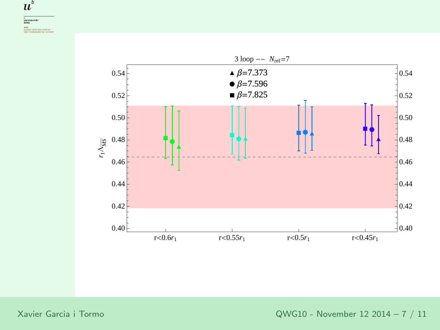$\boldsymbol{u}^{\textit{b}}$ 



Xavier Garcia <sup>i</sup> Tormo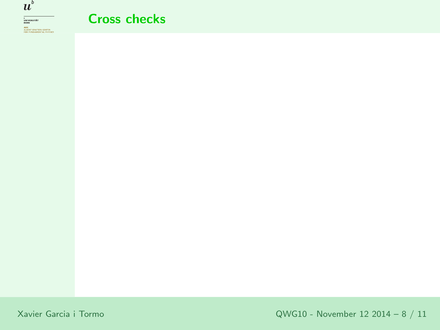

### Cross checks

Xavier Garcia <sup>i</sup> Tormo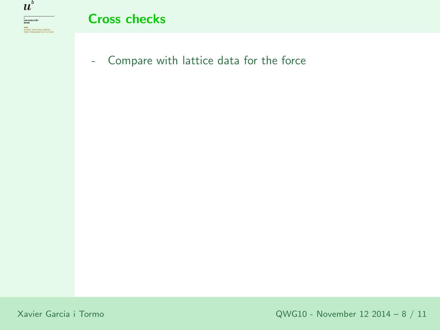

**AEC**<br>ALBERT EINSTEIN CENTER<br>FOR FUNDAMENTAL PHYSICS

### Cross checks

-Compare with lattice data for the force

Xavier Garcia <sup>i</sup> Tormo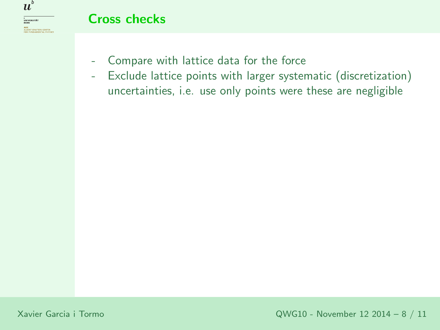

- -Compare with lattice data for the force
- - Exclude lattice points with larger systematic (discretization) uncertainties, i.e. use only points were these are negligible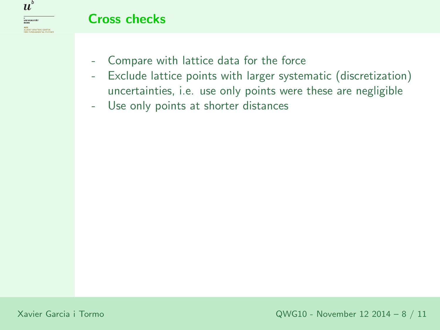

- -Compare with lattice data for the force
- - Exclude lattice points with larger systematic (discretization) uncertainties, i.e. use only points were these are negligible
- -Use only points at shorter distances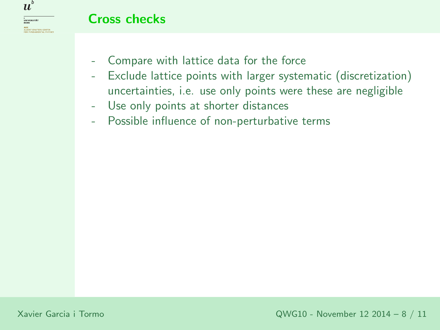

- -Compare with lattice data for the force
- - Exclude lattice points with larger systematic (discretization) uncertainties, i.e. use only points were these are negligible
- -Use only points at shorter distances
- -Possible influence of non-perturbative terms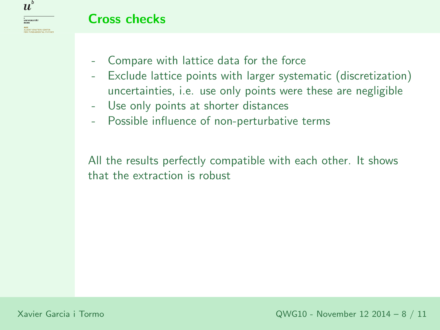

- -Compare with lattice data for the force
- - Exclude lattice points with larger systematic (discretization) uncertainties, i.e. use only points were these are negligible
- -Use only points at shorter distances
- -Possible influence of non-perturbative terms

All the results perfectly compatible with each other. It shows that the extraction is robust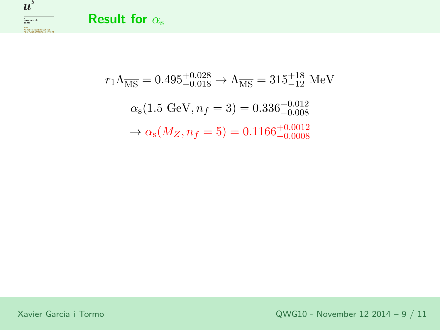



$$
r_1 \Lambda_{\overline{\text{MS}}} = 0.495^{+0.028}_{-0.018} \to \Lambda_{\overline{\text{MS}}} = 315^{+18}_{-12} \text{ MeV}
$$
  

$$
\alpha_s (1.5 \text{ GeV}, n_f = 3) = 0.336^{+0.012}_{-0.008}
$$
  

$$
\to \alpha_s (M_Z, n_f = 5) = 0.1166^{+0.0012}_{-0.0008}
$$

Xavier Garcia <sup>i</sup> Tormo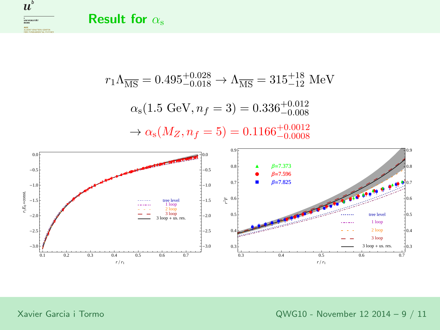**Result for**  $\alpha_s$ 



 $r_1\Lambda_{\overline{\rm MS}} = 0.495^{+0.028}_{-0.018} \rightarrow \Lambda_{\overline{\rm MS}} = 315^{+18}_{-12}~{\rm MeV}$  $\alpha_{\rm s}(1.5\,\,{\rm GeV},n_f=3)=0.336^{+0.012}_{-0.008}$  $\rightarrow$  $\rightarrow \alpha_s(M_Z, n_f = 5) = 0.1166^{+0.0012}_{-0.0008}$ 



Xavier Garcia <sup>i</sup> Tormo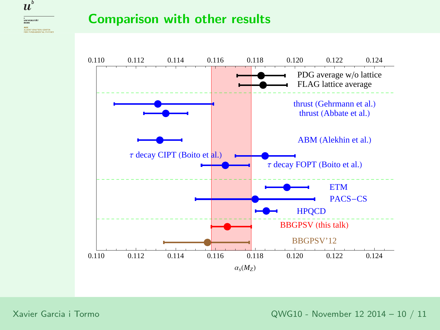

### Comparison with other results



Xavier Garcia <sup>i</sup> Tormo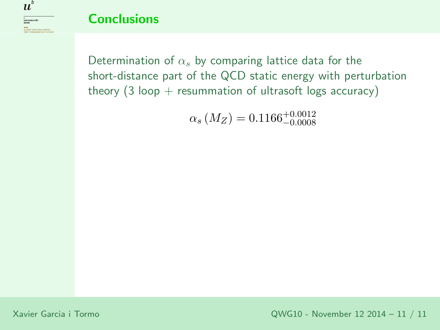

### **Conclusions**

Determination of  $\alpha_s$  by comparing lattice data for the short-distance part of the QCD static energy with perturbationtheory  $(3 \text{ loop} + \text{resummation of ultrasoft logs accuracy})$ 

 $\alpha_s\left(M_Z\right) = 0.1166^{+0.0012}_{-0.0008}$ 

Xavier Garcia <sup>i</sup> Tormo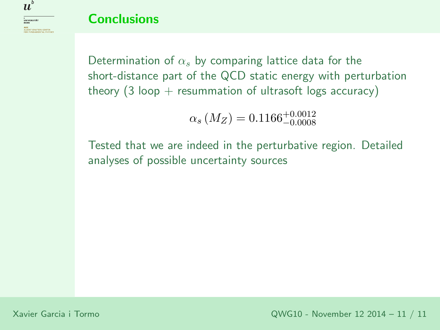### **Conclusions**

Determination of  $\alpha_s$  by comparing lattice data for the short-distance part of the QCD static energy with perturbationtheory  $(3 \text{ loop} + \text{resummation of ultrasoft logs accuracy})$ 

 $\alpha_s\left(M_Z\right) = 0.1166^{+0.0012}_{-0.0008}$ 

Tested that we are indeed in the perturbative region. Detailedanalyses of possible uncertainty sources

 $\boldsymbol{u}^{\textit{b}}$ 

<sup>b</sup><br>Universität<br>Bern **AEC**<br>ALBERT EINSTEIN CENTER<br>FOR FUNDAMENTAL PHYSI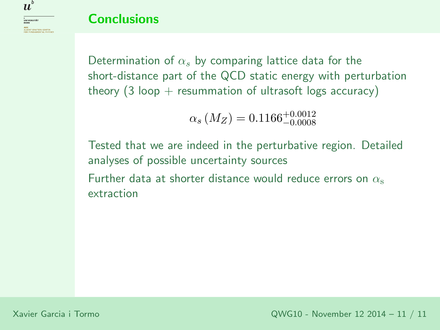### **Conclusions**

Determination of  $\alpha_s$  by comparing lattice data for the short-distance part of the QCD static energy with perturbationtheory  $(3 \text{ loop} + \text{resummation of ultrasoft logs accuracy})$ 

$$
\alpha_s \left( M_Z \right) = 0.1166^{+0.0012}_{-0.0008}
$$

Tested that we are indeed in the perturbative region. Detailedanalyses of possible uncertainty sources

Further data at shorter distance would reduce errors on  $\alpha_{\rm s}$ extraction

 $\boldsymbol{u}^{\textit{b}}$ 

<sup>b</sup><br>Universität<br>Bern

**AEC**<br>ALBERT EINSTEIN CENTER<br>FOR FUNDAMENTAL PHYSIC